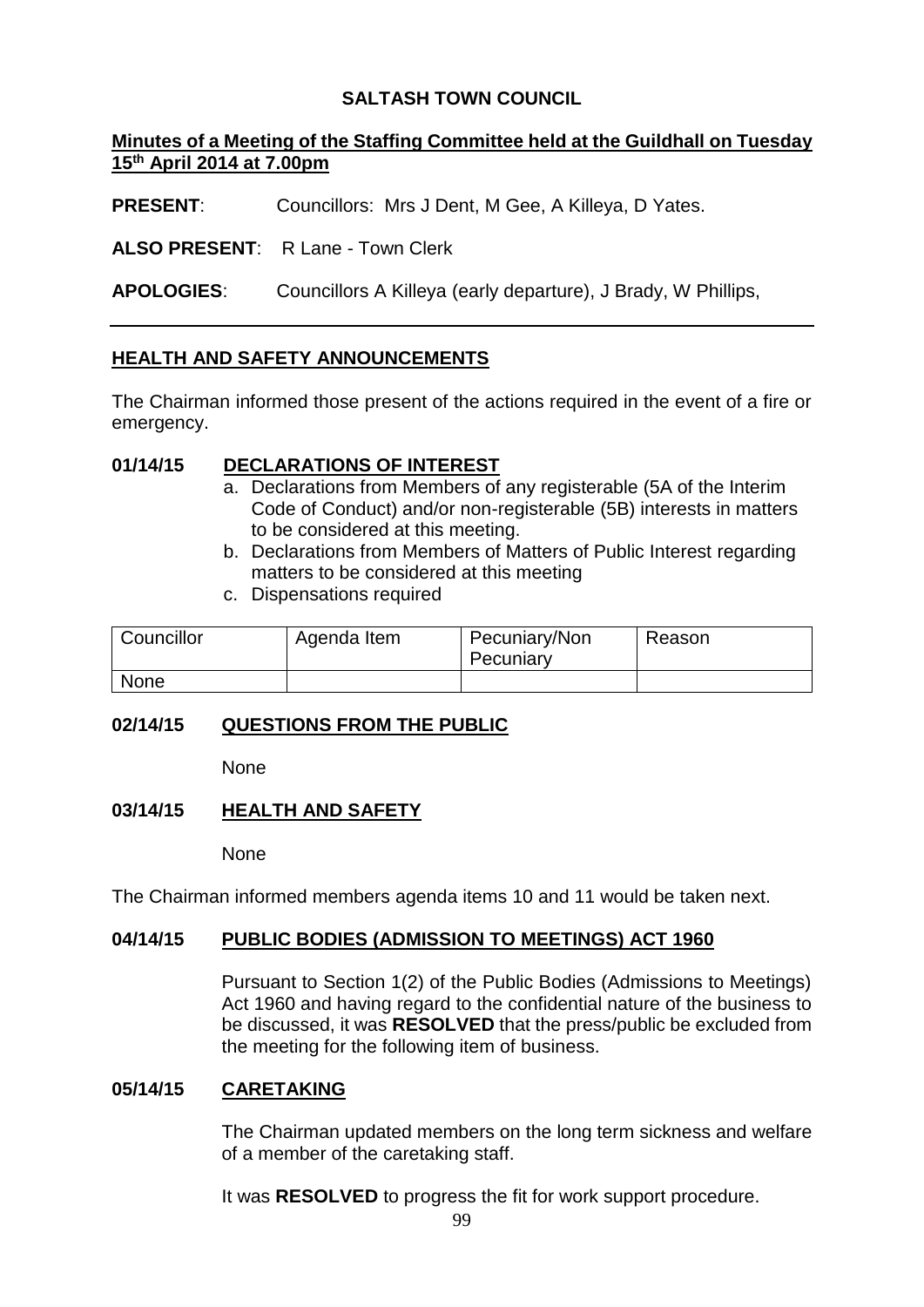# **SALTASH TOWN COUNCIL**

## **Minutes of a Meeting of the Staffing Committee held at the Guildhall on Tuesday 15th April 2014 at 7.00pm**

**PRESENT**: Councillors: Mrs J Dent, M Gee, A Killeya, D Yates.

**ALSO PRESENT**: R Lane - Town Clerk

**APOLOGIES**: Councillors A Killeya (early departure), J Brady, W Phillips,

## **HEALTH AND SAFETY ANNOUNCEMENTS**

The Chairman informed those present of the actions required in the event of a fire or emergency.

## **01/14/15 DECLARATIONS OF INTEREST**

- a. Declarations from Members of any registerable (5A of the Interim Code of Conduct) and/or non-registerable (5B) interests in matters to be considered at this meeting.
- b. Declarations from Members of Matters of Public Interest regarding matters to be considered at this meeting
- c. Dispensations required

| Councillor  | Agenda Item | Pecuniary/Non<br>Pecuniary | Reason |
|-------------|-------------|----------------------------|--------|
| <b>None</b> |             |                            |        |

## **02/14/15 QUESTIONS FROM THE PUBLIC**

None

## **03/14/15 HEALTH AND SAFETY**

None

The Chairman informed members agenda items 10 and 11 would be taken next.

## **04/14/15 PUBLIC BODIES (ADMISSION TO MEETINGS) ACT 1960**

Pursuant to Section 1(2) of the Public Bodies (Admissions to Meetings) Act 1960 and having regard to the confidential nature of the business to be discussed, it was **RESOLVED** that the press/public be excluded from the meeting for the following item of business.

#### **05/14/15 CARETAKING**

The Chairman updated members on the long term sickness and welfare of a member of the caretaking staff.

It was **RESOLVED** to progress the fit for work support procedure.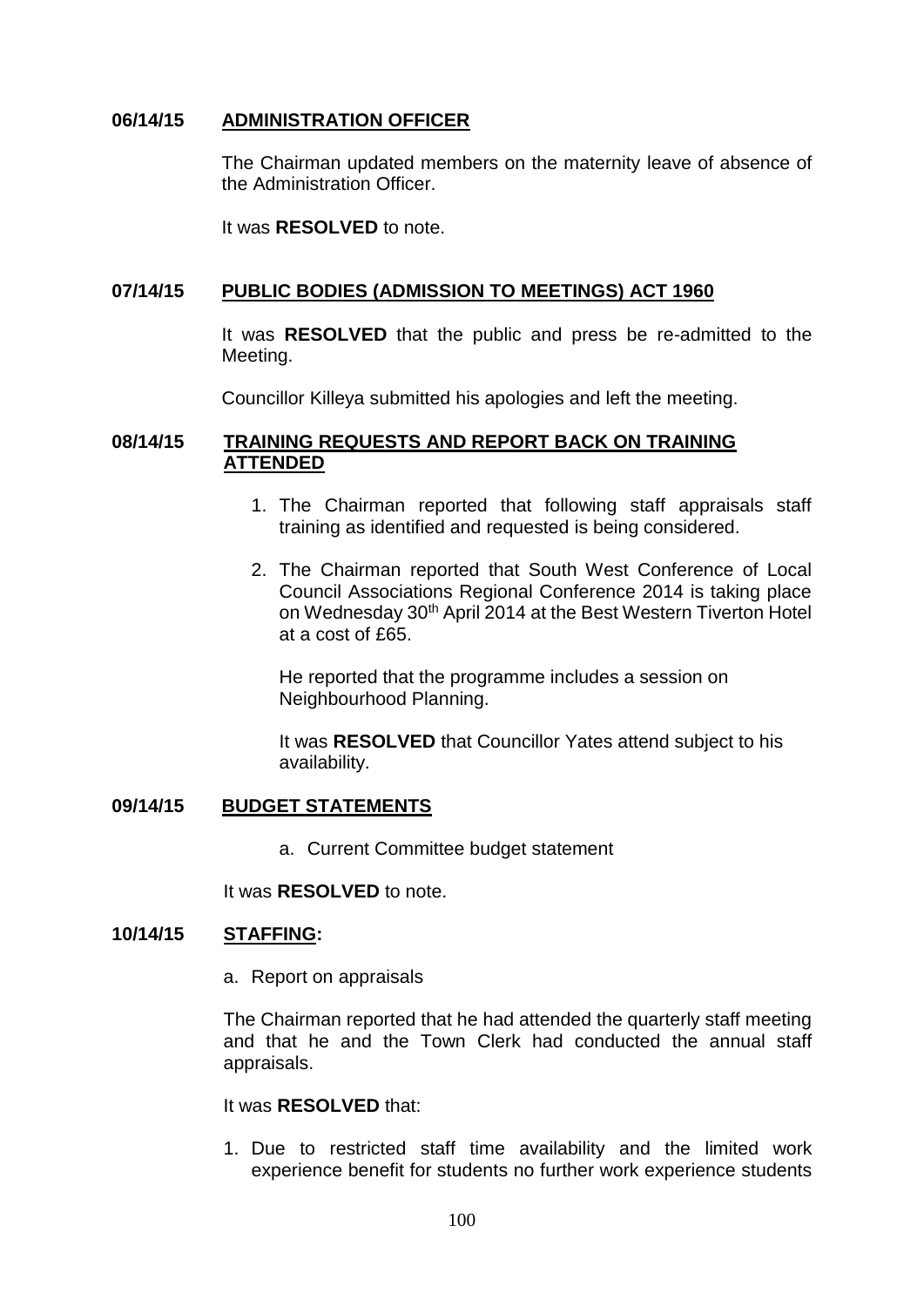### **06/14/15 ADMINISTRATION OFFICER**

The Chairman updated members on the maternity leave of absence of the Administration Officer.

It was **RESOLVED** to note.

#### **07/14/15 PUBLIC BODIES (ADMISSION TO MEETINGS) ACT 1960**

It was **RESOLVED** that the public and press be re-admitted to the Meeting.

Councillor Killeya submitted his apologies and left the meeting.

### **08/14/15 TRAINING REQUESTS AND REPORT BACK ON TRAINING ATTENDED**

- 1. The Chairman reported that following staff appraisals staff training as identified and requested is being considered.
- 2. The Chairman reported that South West Conference of Local Council Associations Regional Conference 2014 is taking place on Wednesday 30th April 2014 at the Best Western Tiverton Hotel at a cost of £65.

He reported that the programme includes a session on Neighbourhood Planning.

It was **RESOLVED** that Councillor Yates attend subject to his availability.

#### **09/14/15 BUDGET STATEMENTS**

a. Current Committee budget statement

It was **RESOLVED** to note.

#### **10/14/15 STAFFING:**

a. Report on appraisals

The Chairman reported that he had attended the quarterly staff meeting and that he and the Town Clerk had conducted the annual staff appraisals.

#### It was **RESOLVED** that:

1. Due to restricted staff time availability and the limited work experience benefit for students no further work experience students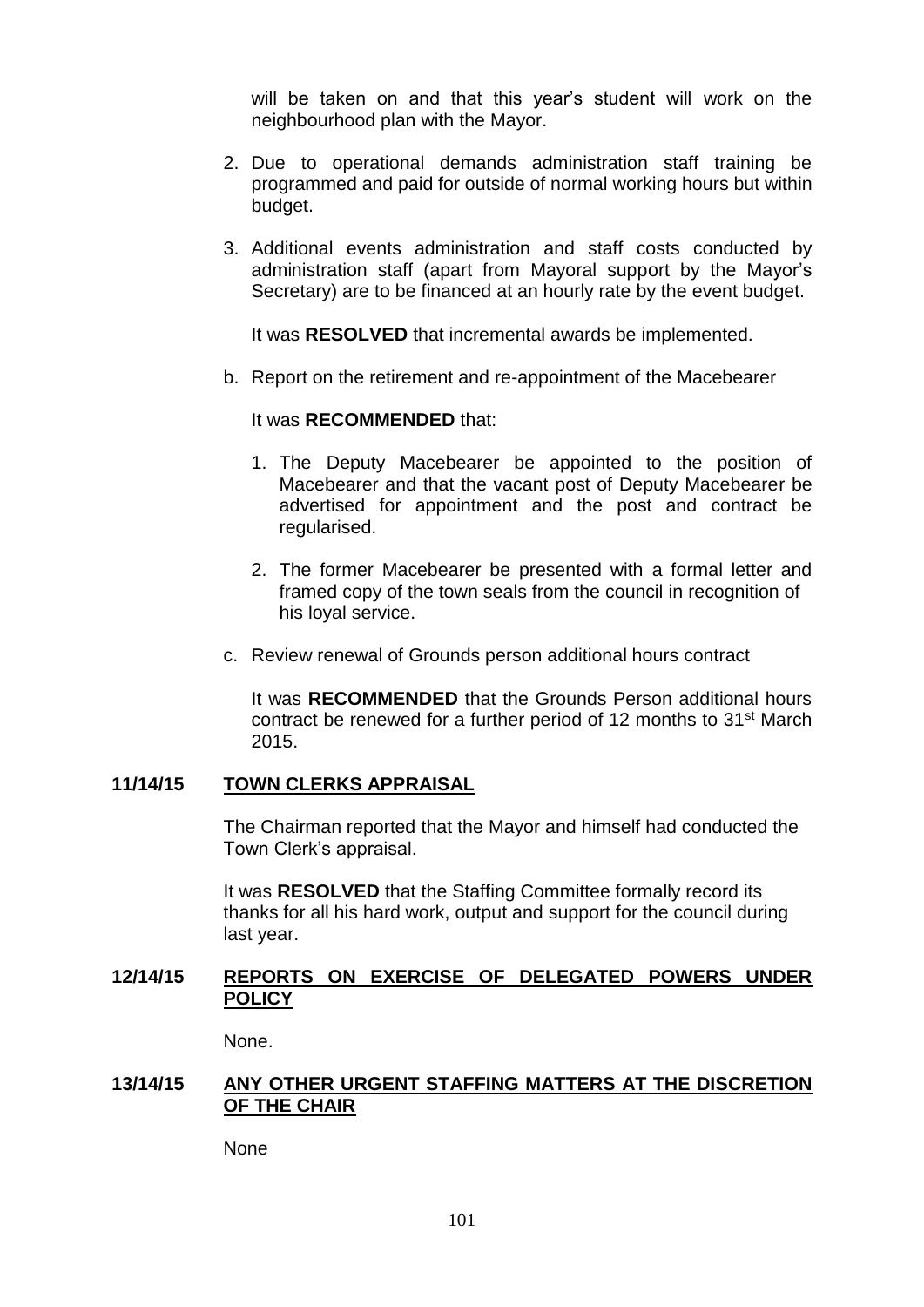will be taken on and that this year's student will work on the neighbourhood plan with the Mayor.

- 2. Due to operational demands administration staff training be programmed and paid for outside of normal working hours but within budget.
- 3. Additional events administration and staff costs conducted by administration staff (apart from Mayoral support by the Mayor's Secretary) are to be financed at an hourly rate by the event budget.

It was **RESOLVED** that incremental awards be implemented.

b. Report on the retirement and re-appointment of the Macebearer

#### It was **RECOMMENDED** that:

- 1. The Deputy Macebearer be appointed to the position of Macebearer and that the vacant post of Deputy Macebearer be advertised for appointment and the post and contract be regularised.
- 2. The former Macebearer be presented with a formal letter and framed copy of the town seals from the council in recognition of his loyal service.
- c. Review renewal of Grounds person additional hours contract

It was **RECOMMENDED** that the Grounds Person additional hours contract be renewed for a further period of 12 months to 31st March 2015.

## **11/14/15 TOWN CLERKS APPRAISAL**

The Chairman reported that the Mayor and himself had conducted the Town Clerk's appraisal.

It was **RESOLVED** that the Staffing Committee formally record its thanks for all his hard work, output and support for the council during last year.

### **12/14/15 REPORTS ON EXERCISE OF DELEGATED POWERS UNDER POLICY**

None.

# **13/14/15 ANY OTHER URGENT STAFFING MATTERS AT THE DISCRETION OF THE CHAIR**

None